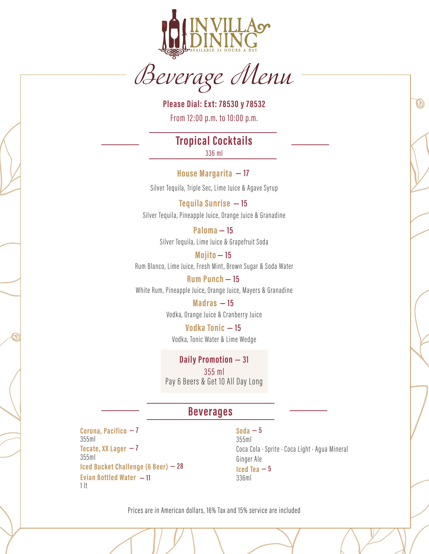

Beverage Menu

**Please Dial: Ext: 78530 y 78532** From 12:00 p.m. to 10:00 p.m.

**Tropical Cock tails** 336 ml

**House Margarita — 17** 

Silver Tequila, Triple Sec, Lime Juice & Agave Syrup

Silver Tequila, Pineapple Juice, Orange Juice & Granadine **Tequila Sunrise — 15** 

> Silver Tequila, Lime Juice & Grapefruit Soda **Paloma — 15**

Rum Blanco, Lime Juice, Fresh Mint, Brown Sugar & Soda Water **Mojito — 15** 

White Rum, Pineapple Juice, Orange Juice, Mayers & Granadine **Rum Punch — 15** 

> Vodka, Orange Juice & Cranberry Juice **Madras — 15**

Vodka, Tonic Water & Lime Wedge **Vodka Tonic — 15** 

355 ml Pay 6 Beers & Get 10 All Day Long **Daily Promotion — 31**

#### **Beverages**

**Corona, Pacifico — 7 Tecate, XX Lager — 7 Iced Bucket Challenge (6 Beer) — 28 Evian Bottled Water — 11** 355ml  $1$  lt 355ml

Coca Cola · Sprite · Coca Light · Agua Mineral Ginger Ale **Soda — 5 Iced Tea — 5** 355ml 336ml

 $\bm{\varnothing}$ 

Prices are in American dollars, 16% Tax and 15% service are included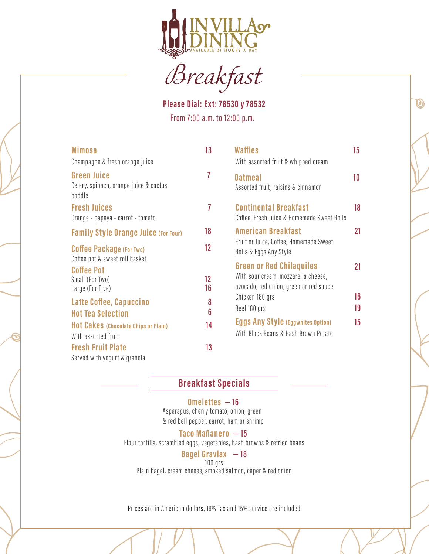

Breakfast

**Please Dial: Ext: 78530 y 78532** From 7:00 a.m. to 12:00 p.m.

 $\bm{\varnothing}$ 

| <b>Mimosa</b>                                                          | 13       | <b>Waffles</b>                                                                                                   | 15       |
|------------------------------------------------------------------------|----------|------------------------------------------------------------------------------------------------------------------|----------|
| Champagne & fresh orange juice                                         |          | With assorted fruit & whipped cream                                                                              |          |
| <b>Green Juice</b><br>Celery, spinach, orange juice & cactus<br>paddle | 7        | <b>Oatmeal</b><br>Assorted fruit, raisins & cinnamon                                                             | 10       |
| <b>Fresh Juices</b><br>Orange - papaya - carrot - tomato               | 7        | <b>Continental Breakfast</b><br>Coffee, Fresh Juice & Homemade Sweet Rolls                                       | 18       |
| <b>Family Style Orange Juice (For Four)</b>                            | 18       | <b>American Breakfast</b>                                                                                        | 21       |
| <b>Coffee Package (For Two)</b><br>Coffee pot & sweet roll basket      | $12 \,$  | Fruit or Juice, Coffee, Homemade Sweet<br>Rolls & Eggs Any Style                                                 |          |
| <b>Coffee Pot</b><br>Small (For Two)<br>Large (For Five)               | 12<br>16 | <b>Green or Red Chilaquiles</b><br>With sour cream, mozzarella cheese,<br>avocado, red onion, green or red sauce | 21       |
| Latte Coffee, Capuccino<br><b>Hot Tea Selection</b>                    | 8<br>6   | Chicken 180 grs<br>Beef 180 grs                                                                                  | 16<br>19 |
| <b>Hot Cakes (Chocolate Chips or Plain)</b><br>With assorted fruit     | 14       | <b>Eggs Any Style (Eggwhites Option)</b><br>With Black Beans & Hash Brown Potato                                 | 15       |
| <b>Fresh Fruit Plate</b><br>Served with yogurt & granola               | 13       |                                                                                                                  |          |

# **Breakfast Specials**

#### **Omelettes — 16**

Asparagus, cherry tomato, onion, green & red bell pepper, carrot, ham or shrimp

#### **Taco Mañanero — 15**

Flour tortilla, scrambled eggs, vegetables, hash browns & refried beans

#### **Bagel Gravlax — 18**

100 grs

Plain bagel, cream cheese, smoked salmon, caper & red onion

Prices are in American dollars, 16% Tax and 15% service are included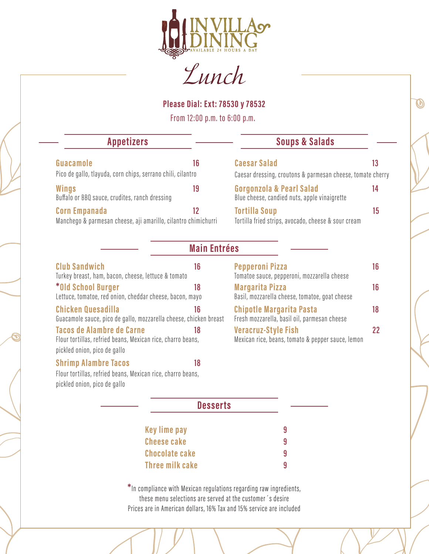

Lunch

**Please Dial: Ext: 78530 y 78532**

From 12:00 p.m. to 6:00 p.m.

| <b>Appetizers</b>                                                        |    | <b>Soups &amp; Salads</b>                                                |    |
|--------------------------------------------------------------------------|----|--------------------------------------------------------------------------|----|
| Guacamole<br>Pico de gallo, tlayuda, corn chips, serrano chili, cilantro | 16 | <b>Caesar Salad</b>                                                      |    |
|                                                                          |    | Caesar dressing, croutons & parmesan cheese, tomate cherry               |    |
| Wings<br>Buffalo or BBQ sauce, crudites, ranch dressing                  | 19 | Gorgonzola & Pearl Salad<br>Blue cheese, candied nuts, apple vinaigrette | 14 |
| <b>Corn Empanada</b>                                                     | 12 | <b>Tortilla Soup</b>                                                     | 15 |
| Manchego & parmesan cheese, aji amarillo, cilantro chimichurri           |    | Tortilla fried strips, avocado, cheese & sour cream                      |    |

|  | <b>Main Entrées</b> |  |
|--|---------------------|--|
|  |                     |  |

| <b>Club Sandwich</b><br>Turkey breast, ham, bacon, cheese, lettuce & tomato                     | 16 |
|-------------------------------------------------------------------------------------------------|----|
| *Old School Burger<br>Lettuce, tomatoe, red onion, cheddar cheese, bacon, mayo                  | 18 |
| Chicken Quesadilla<br>Guacamole sauce, pico de gallo, mozzarella cheese, chicken breast         | 16 |
| <b>Tacos de Alambre de Carne</b><br>Flour tortillas, refried beans, Mexican rice, charro beans, | 18 |
| pickled onion, pico de gallo                                                                    |    |
| <b>Shrimp Alambre Tacos</b>                                                                     | 18 |

| <b>Pepperoni Pizza</b><br>Tomatoe sauce, pepperoni, mozzarella cheese           | ١ĥ |
|---------------------------------------------------------------------------------|----|
| <b>Margarita Pizza</b><br>Basil, mozzarella cheese, tomatoe, goat cheese        | 16 |
| <b>Chipotle Margarita Pasta</b><br>Fresh mozzarella, basil oil, parmesan cheese | 18 |
| <b>Veracruz-Style Fish</b><br>Mexican rice, beans, tomato & pepper sauce, lemon | 22 |

 $\boldsymbol{\varnothing}$ 

Flour tortillas, refried beans, Mexican rice, charro beans, pickled onion, pico de gallo

#### **Desserts**

| Key lime pay          | 9 |
|-----------------------|---|
| <b>Cheese cake</b>    | 9 |
| <b>Chocolate cake</b> | q |
| Three milk cake       | q |

Prices are in American dollars, 16% Tax and 15% service are included **\***In compliance with Mexican regulations regarding raw ingredients, these menu selections are served at the customer´s desire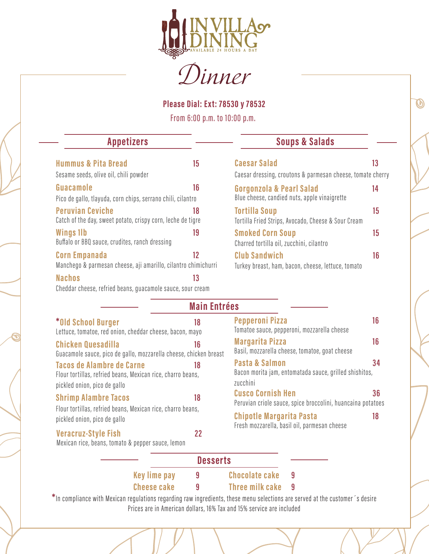

Dinner

**Please Dial: Ext: 78530 y 78532**

From 6:00 p.m. to 10:00 p.m.

| <b>Appetizers</b> | <b>Soups &amp; Salads</b> |
|-------------------|---------------------------|
|-------------------|---------------------------|

| <b>Hummus &amp; Pita Bread</b>                                                         | 15 |
|----------------------------------------------------------------------------------------|----|
| Sesame seeds, olive oil, chili powder                                                  |    |
| Guacamole                                                                              | 16 |
| Pico de gallo, tlayuda, corn chips, serrano chili, cilantro                            |    |
| <b>Peruvian Ceviche</b><br>Catch of the day, sweet potato, crispy corn, leche de tigre | 18 |
| <b>Wings 1lb</b><br>Buffalo or BBQ sauce, crudites, ranch dressing                     | 19 |
| <b>Corn Empanada</b><br>Manchego & parmesan cheese, aji amarillo, cilantro chimichurri | 12 |
| <b>Nachos</b>                                                                          | 13 |

|  | Cheddar cheese, refried beans, guacamole sauce, sour cream |  |  |  |  |  |  |
|--|------------------------------------------------------------|--|--|--|--|--|--|
|--|------------------------------------------------------------|--|--|--|--|--|--|

| <b>Caesar Salad</b><br>Caesar dressing, croutons & parmesan cheese, tomate cherry | 13 |
|-----------------------------------------------------------------------------------|----|
| Gorgonzola & Pearl Salad<br>Blue cheese, candied nuts, apple vinaigrette          | 14 |
| <b>Tortilla Soup</b><br>Tortilla Fried Strips, Avocado, Cheese & Sour Cream       | 15 |
| <b>Smoked Corn Soup</b><br>Charred tortilla oil, zucchini, cilantro               | 15 |
| <b>Club Sandwich</b><br>Turkey breast, ham, bacon, cheese, lettuce, tomato        | 16 |

 $\bm{\varnothing}$ 

### **Main Entrées**

| *Old School Burger<br>Lettuce, tomatoe, red onion, cheddar cheese, bacon, mayo                                                  | 18 |
|---------------------------------------------------------------------------------------------------------------------------------|----|
| Chicken Quesadilla<br>Guacamole sauce, pico de gallo, mozzarella cheese, chicken breast                                         | 16 |
| <b>Tacos de Alambre de Carne</b><br>Flour tortillas, refried beans, Mexican rice, charro beans,<br>pickled onion, pico de gallo | 18 |
| <b>Shrimp Alambre Tacos</b><br>Flour tortillas, refried beans, Mexican rice, charro beans,<br>pickled onion, pico de gallo      | 18 |

| Basil, mozzarella cheese, tomatoe, goat cheese                                          |    |
|-----------------------------------------------------------------------------------------|----|
| <b>Pasta &amp; Salmon</b><br>Bacon morita jam, entomatada sauce, grilled shishitos,     | 34 |
| zucchini                                                                                |    |
| <b>Cusco Cornish Hen</b><br>Peruvian criole sauce, spice broccolini, huancaina potatoes | 36 |
| <b>Chipotle Margarita Pasta</b><br>Fresh mozzarella, basil oil, parmesan cheese         | 18 |

**Pepperoni Pizza 16**

**Margarita Pizza 16**

Tomatoe sauce, pepperoni, mozzarella cheese

#### **Veracruz-Style Fish** 22

Mexican rice, beans, tomato & pepper sauce, lemon

|                     | <b>Desserts</b>       |  |
|---------------------|-----------------------|--|
| <b>Key lime pay</b> | <b>Chocolate cake</b> |  |
| <b>Cheese cake</b>  | Three milk cake 9     |  |

Prices are in American dollars, 16% Tax and 15% service are included **\***In compliance with Mexican regulations regarding raw ingredients, these menu selections are served at the customer´s desire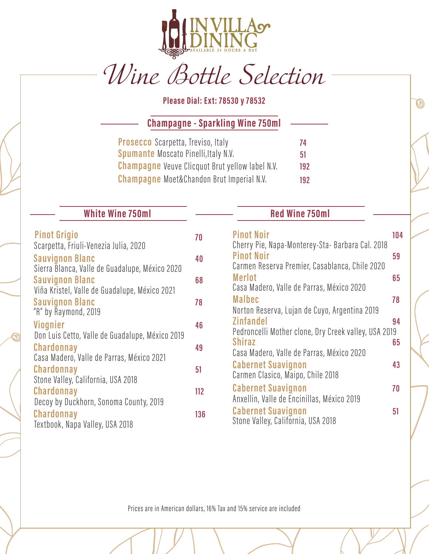

# Wine Bottle Selection

**Please Dial: Ext: 78530 y 78532**

**Champagne - Sparkling Wine 750ml**

| <b>Prosecco</b> Scarpetta, Treviso, Italy              | 74  |
|--------------------------------------------------------|-----|
| <b>Spumante Moscato Pinelli, Italy N.V.</b>            | 51  |
| <b>Champagne</b> Veuve Clicquot Brut yellow label N.V. | 192 |
| <b>Champagne</b> Moet&Chandon Brut Imperial N.V.       | 192 |

# **White Wine 750ml Red Wine 750ml**

| <b>Pinot Grigio</b><br>Scarpetta, Friuli-Venezia Julia, 2020                                               | 70  |
|------------------------------------------------------------------------------------------------------------|-----|
| <b>Sauvignon Blanc</b><br>Sierra Blanca, Valle de Guadalupe, México 2020                                   | 40  |
| <b>Sauvignon Blanc</b><br>Viña Kristel, Valle de Guadalupe, México 2021                                    | 68  |
| <b>Sauvignon Blanc</b><br>"R" by Raymond, 2019                                                             | 78  |
| Viognier                                                                                                   | 46  |
| Don Luis Cetto, Valle de Guadalupe, México 2019<br>Chardonnay<br>Casa Madero, Valle de Parras, México 2021 | 49  |
| Chardonnay                                                                                                 | 51  |
| Stone Valley, California, USA 2018<br>Chardonnay<br>Decoy by Duckhorn, Sonoma County, 2019                 | 112 |
| Chardonnay<br>Textbook, Napa Valley, USA 2018                                                              | 136 |

 $\bm{\varnothing}$ 

| Cherry Pie, Napa-Monterey-Sta-Barbara Cal. 2018<br><b>Pinot Noir</b><br>Carmen Reserva Premier, Casablanca, Chile 2020<br><b>Merlot</b> | 59<br>65 |
|-----------------------------------------------------------------------------------------------------------------------------------------|----------|
|                                                                                                                                         |          |
| Casa Madero, Valle de Parras, México 2020                                                                                               |          |
| <b>Malbec</b><br>78                                                                                                                     |          |
| Norton Reserva, Lujan de Cuyo, Argentina 2019<br><b>Zinfandel</b>                                                                       | 94       |
| Pedroncelli Mother clone, Dry Creek valley, USA 2019<br><b>Shiraz</b>                                                                   | 65       |
| Casa Madero, Valle de Parras, México 2020                                                                                               |          |
| <b>Cabernet Suavignon</b><br>Carmen Clasico, Maipo, Chile 2018                                                                          | 43       |
| <b>Cabernet Suavignon</b><br>70<br>Anxellin, Valle de Encinillas, México 2019                                                           |          |
| <b>Cabernet Suavignon</b><br>51<br>Stone Valley, California, USA 2018                                                                   |          |

Prices are in American dollars, 16% Tax and 15% service are included